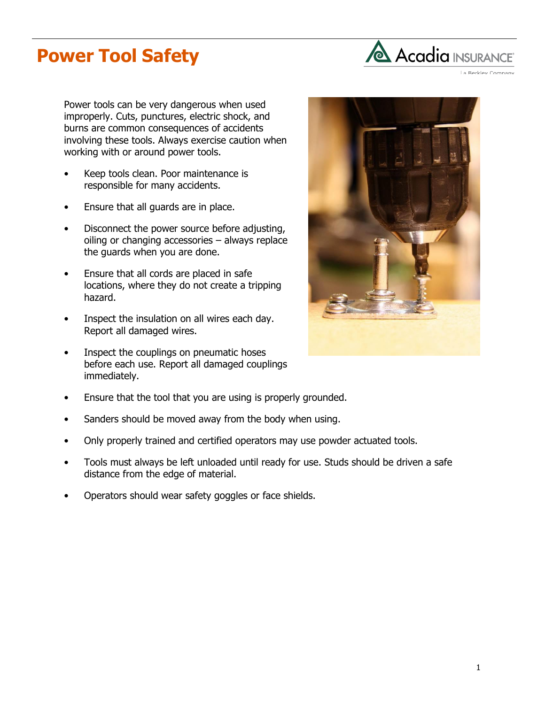## **Power Tool Safety**



La Berkley Company

Power tools can be very dangerous when used improperly. Cuts, punctures, electric shock, and burns are common consequences of accidents involving these tools. Always exercise caution when working with or around power tools.

- Keep tools clean. Poor maintenance is responsible for many accidents.
- Ensure that all guards are in place.
- Disconnect the power source before adjusting, oiling or changing accessories – always replace the guards when you are done.
- Ensure that all cords are placed in safe locations, where they do not create a tripping hazard.
- Inspect the insulation on all wires each day. Report all damaged wires.
- Inspect the couplings on pneumatic hoses before each use. Report all damaged couplings immediately.



- Ensure that the tool that you are using is properly grounded.
- Sanders should be moved away from the body when using.
- Only properly trained and certified operators may use powder actuated tools.
- Tools must always be left unloaded until ready for use. Studs should be driven a safe distance from the edge of material.
- Operators should wear safety goggles or face shields.